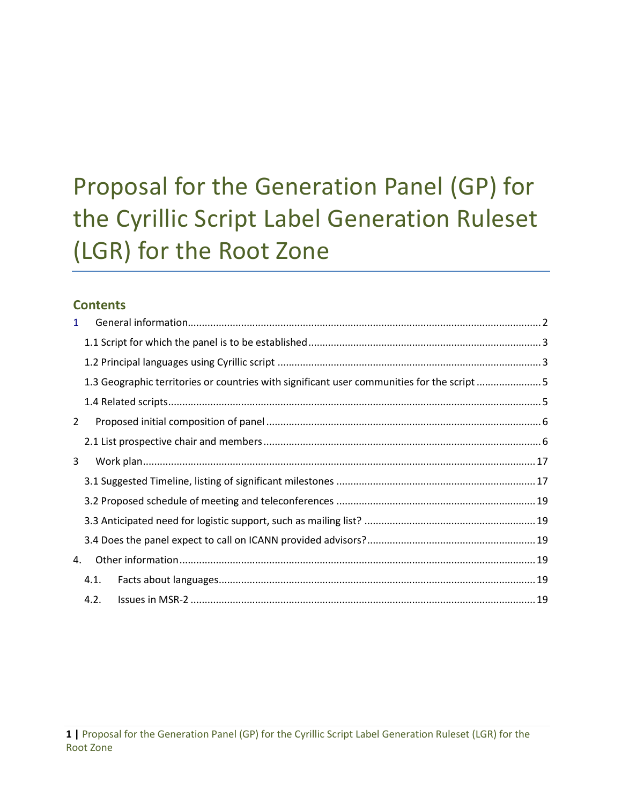# **Contents**

| $\mathbf{1}$ |                                                                                            |  |
|--------------|--------------------------------------------------------------------------------------------|--|
|              |                                                                                            |  |
|              |                                                                                            |  |
|              | 1.3 Geographic territories or countries with significant user communities for the script 5 |  |
|              |                                                                                            |  |
| 2            |                                                                                            |  |
|              |                                                                                            |  |
| 3            |                                                                                            |  |
|              |                                                                                            |  |
|              |                                                                                            |  |
|              |                                                                                            |  |
|              |                                                                                            |  |
| 4.           |                                                                                            |  |
|              | 4.1.                                                                                       |  |
|              | 4.2.                                                                                       |  |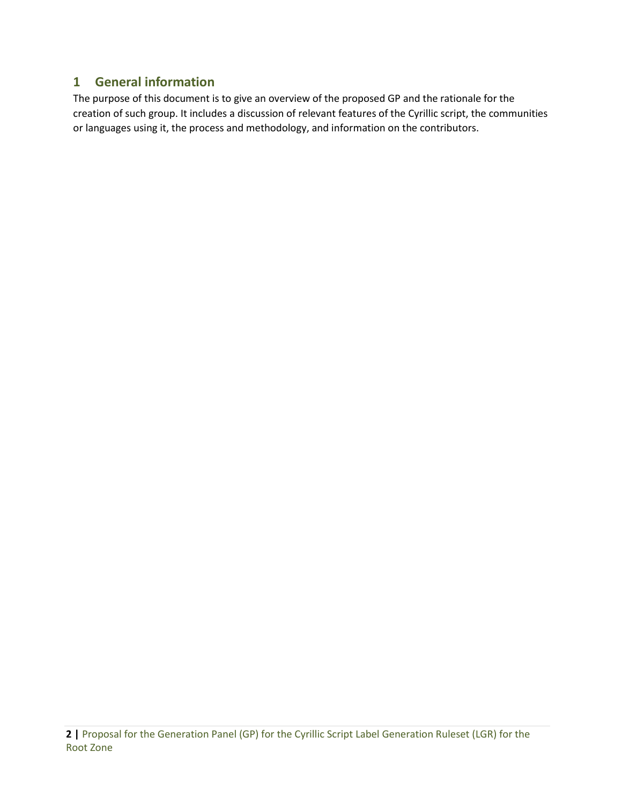# <span id="page-1-0"></span>**1 General information**

The purpose of this document is to give an overview of the proposed GP and the rationale for the creation of such group. It includes a discussion of relevant features of the Cyrillic script, the communities or languages using it, the process and methodology, and information on the contributors.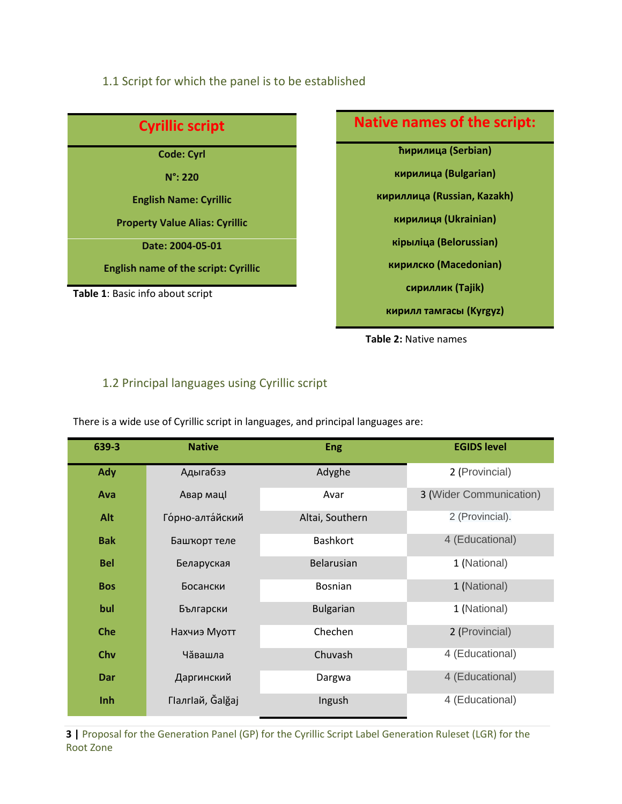#### <span id="page-2-0"></span>1.1 Script for which the panel is to be established



# **Native names of the script: ћирилица (Serbian) кирилица (Bulgarian) кириллица (Russian, Kazakh) кирилиця (Ukrainian) кірыліца (Belorussian) кирилско (Macedonian) сириллик (Tajik) кирилл тамгасы (Kyrgyz)**



# <span id="page-2-1"></span>1.2 Principal languages using Cyrillic script

There is a wide use of Cyrillic script in languages, and principal languages are:

| 639-3      | <b>Native</b>    | <b>Eng</b>       | <b>EGIDS level</b>      |
|------------|------------------|------------------|-------------------------|
| Ady        | Адыгабзэ         | Adyghe           | 2 (Provincial)          |
| Ava        | Авар мацІ        | Avar             | 3 (Wider Communication) |
| Alt        | Горно-алтайский  | Altai, Southern  | 2 (Provincial).         |
| <b>Bak</b> | Башкорт теле     | <b>Bashkort</b>  | 4 (Educational)         |
| <b>Bel</b> | Беларуская       | Belarusian       | 1 (National)            |
| <b>Bos</b> | Босански         | <b>Bosnian</b>   | 1 (National)            |
| bul        | Български        | <b>Bulgarian</b> | 1 (National)            |
| <b>Che</b> | Нахчиэ Муотт     | Chechen          | 2 (Provincial)          |
| Chv        | Чăвашла          | Chuvash          | 4 (Educational)         |
| Dar        | Даргинский       | Dargwa           | 4 (Educational)         |
| Inh        | ГІалгІай, Ğalğaj | Ingush           | 4 (Educational)         |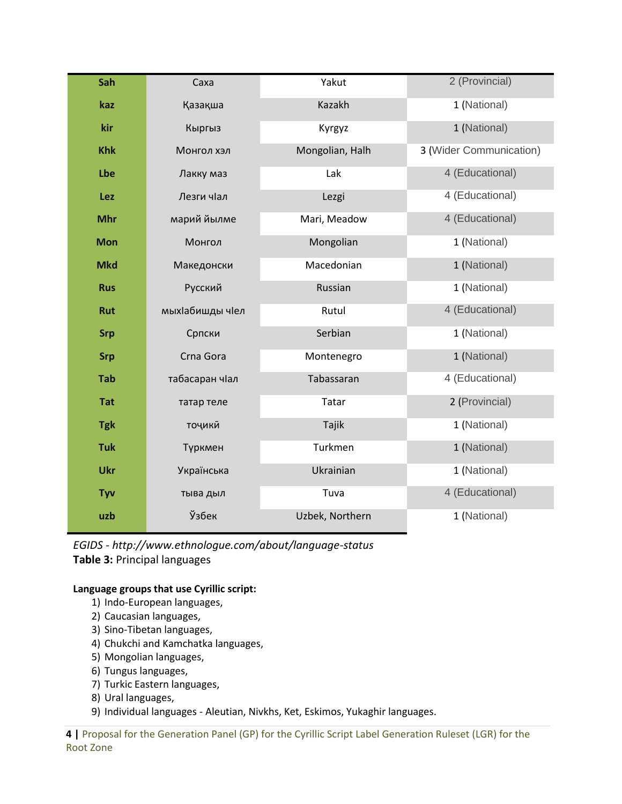| Sah        | Caxa            | Yakut           | 2 (Provincial)          |
|------------|-----------------|-----------------|-------------------------|
| kaz        | Қазақша         | Kazakh          | 1 (National)            |
| kir        | Кыргыз          | Kyrgyz          | 1 (National)            |
| <b>Khk</b> | Монгол хэл      | Mongolian, Halh | 3 (Wider Communication) |
| Lbe        | Лакку маз       | Lak             | 4 (Educational)         |
| Lez        | Лезги чіал      | Lezgi           | 4 (Educational)         |
| <b>Mhr</b> | марий йылме     | Mari, Meadow    | 4 (Educational)         |
| <b>Mon</b> | Монгол          | Mongolian       | 1 (National)            |
| <b>Mkd</b> | Македонски      | Macedonian      | 1 (National)            |
| <b>Rus</b> | Русский         | Russian         | 1 (National)            |
| Rut        | мыхІабишды чІел | Rutul           | 4 (Educational)         |
| <b>Srp</b> | Српски          | Serbian         | 1 (National)            |
| <b>Srp</b> | Crna Gora       | Montenegro      | 1 (National)            |
| <b>Tab</b> | табасаран чІал  | Tabassaran      | 4 (Educational)         |
| <b>Tat</b> | татар теле      | Tatar           | 2 (Provincial)          |
| <b>Tgk</b> | точики          | Tajik           | 1 (National)            |
| <b>Tuk</b> | Түркмен         | Turkmen         | 1 (National)            |
| <b>Ukr</b> | Українська      | Ukrainian       | 1 (National)            |
| Tyv        | тыва дыл        | Tuva            | 4 (Educational)         |
| uzb        | Ўзбек           | Uzbek, Northern | 1 (National)            |

*EGIDS - http://www.ethnologue.com/about/language-status* **Table 3:** Principal languages

#### **Language groups that use Cyrillic script:**

- 1) Indo-European languages,
- 2) Caucasian languages,
- 3) Sino-Tibetan languages,
- 4) Chukchi and Kamchatka languages,
- 5) Mongolian languages,
- 6) Tungus languages,
- 7) Turkic Eastern languages,
- 8) Ural languages,
- 9) Individual languages Aleutian, Nivkhs, Ket, Eskimos, Yukaghir languages.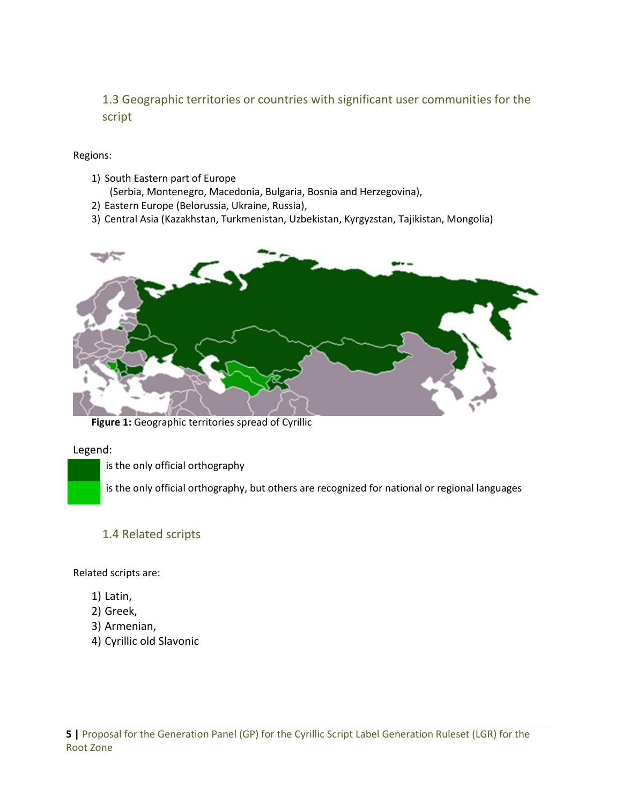<span id="page-4-0"></span>1.3 Geographic territories or countries with significant user communities for the script

#### Regions:

- 1) South Eastern part of Europe
	- (Serbia, Montenegro, Macedonia, Bulgaria, Bosnia and Herzegovina),
- 2) Eastern Europe (Belorussia, Ukraine, Russia),
- 3) Central Asia (Kazakhstan, Turkmenistan, Uzbekistan, Kyrgyzstan, Tajikistan, Mongolia)



**Figure 1:** Geographic territories spread of Cyrillic

#### Legend:

is the only official orthography

is the only official orthography, but others are recognized for national or regional languages

#### <span id="page-4-1"></span>1.4 Related scripts

Related scripts are:

- 1) Latin,
- 2) Greek,
- 3) Armenian,
- 4) Cyrillic old Slavonic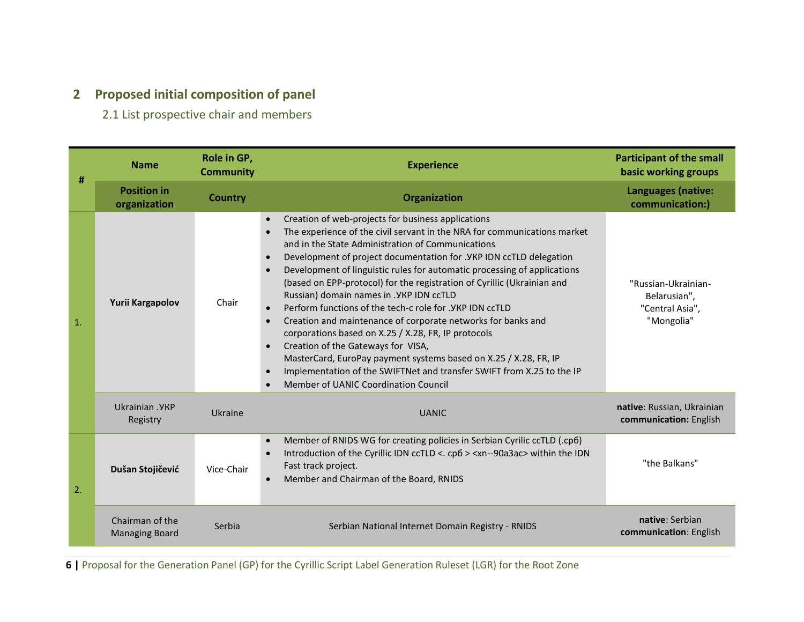# **2 Proposed initial composition of panel**

2.1 List prospective chair and members

<span id="page-5-1"></span><span id="page-5-0"></span>

| #              | <b>Name</b>                              | Role in GP,<br><b>Community</b> | <b>Experience</b>                                                                                                                                                                                                                                                                                                                                                                                                                                                                                                                                                                                                                                                                                                                                                                                                                                                                                                                                                                                | <b>Participant of the small</b><br>basic working groups              |
|----------------|------------------------------------------|---------------------------------|--------------------------------------------------------------------------------------------------------------------------------------------------------------------------------------------------------------------------------------------------------------------------------------------------------------------------------------------------------------------------------------------------------------------------------------------------------------------------------------------------------------------------------------------------------------------------------------------------------------------------------------------------------------------------------------------------------------------------------------------------------------------------------------------------------------------------------------------------------------------------------------------------------------------------------------------------------------------------------------------------|----------------------------------------------------------------------|
|                | <b>Position in</b><br>organization       | <b>Country</b>                  | Organization                                                                                                                                                                                                                                                                                                                                                                                                                                                                                                                                                                                                                                                                                                                                                                                                                                                                                                                                                                                     | Languages (native:<br>communication:)                                |
| $\mathbf{1}$ . | Yurii Kargapolov                         | Chair                           | Creation of web-projects for business applications<br>$\bullet$<br>The experience of the civil servant in the NRA for communications market<br>$\bullet$<br>and in the State Administration of Communications<br>Development of project documentation for . YKP IDN ccTLD delegation<br>$\bullet$<br>Development of linguistic rules for automatic processing of applications<br>$\bullet$<br>(based on EPP-protocol) for the registration of Cyrillic (Ukrainian and<br>Russian) domain names in . YKP IDN ccTLD<br>Perform functions of the tech-c role for . YKP IDN ccTLD<br>$\bullet$<br>Creation and maintenance of corporate networks for banks and<br>$\bullet$<br>corporations based on X.25 / X.28, FR, IP protocols<br>Creation of the Gateways for VISA,<br>$\bullet$<br>MasterCard, EuroPay payment systems based on X.25 / X.28, FR, IP<br>Implementation of the SWIFTNet and transfer SWIFT from X.25 to the IP<br>$\bullet$<br>Member of UANIC Coordination Council<br>$\bullet$ | "Russian-Ukrainian-<br>Belarusian",<br>"Central Asia",<br>"Mongolia" |
|                | Ukrainian . YKP<br>Registry              | Ukraine                         | <b>UANIC</b>                                                                                                                                                                                                                                                                                                                                                                                                                                                                                                                                                                                                                                                                                                                                                                                                                                                                                                                                                                                     | native: Russian, Ukrainian<br>communication: English                 |
| 2.             | Dušan Stojičević                         | Vice-Chair                      | Member of RNIDS WG for creating policies in Serbian Cyrilic ccTLD (.cp6)<br>$\bullet$<br>Introduction of the Cyrillic IDN ccTLD <. cp6 > <xn--90a3ac> within the IDN<br/><math display="inline">\bullet</math><br/>Fast track project.<br/>Member and Chairman of the Board, RNIDS<br/><math display="block">\bullet</math></xn--90a3ac>                                                                                                                                                                                                                                                                                                                                                                                                                                                                                                                                                                                                                                                         | "the Balkans"                                                        |
|                | Chairman of the<br><b>Managing Board</b> | Serbia                          | Serbian National Internet Domain Registry - RNIDS                                                                                                                                                                                                                                                                                                                                                                                                                                                                                                                                                                                                                                                                                                                                                                                                                                                                                                                                                | native: Serbian<br>communication: English                            |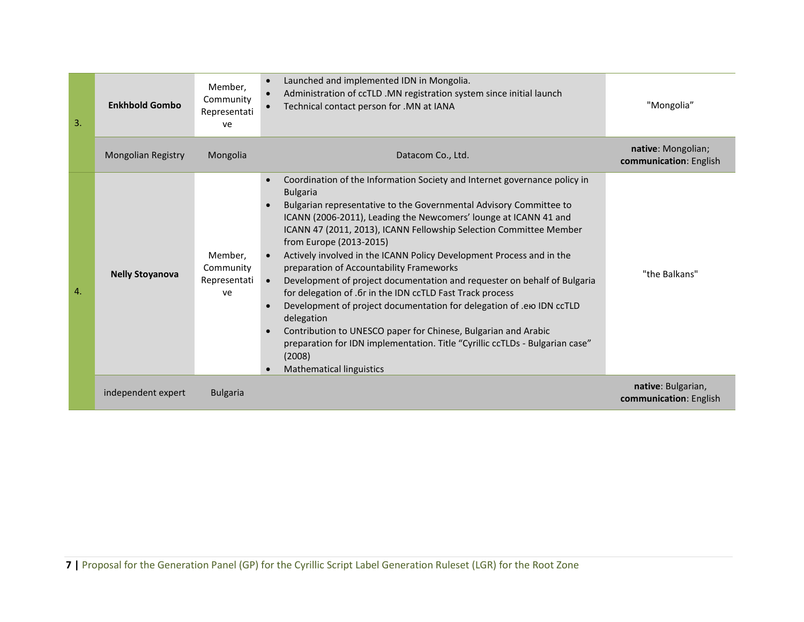| 3.             | <b>Enkhbold Gombo</b>     | Member,<br>Community<br>Representati<br>ve | Launched and implemented IDN in Mongolia.<br>$\bullet$<br>Administration of ccTLD .MN registration system since initial launch<br>$\bullet$<br>Technical contact person for .MN at IANA<br>$\bullet$                                                                                                                                                                                                                                                                                                                                                                                                                                                                                                                                                                                                                                                                                                                                                       | "Mongolia"                                   |
|----------------|---------------------------|--------------------------------------------|------------------------------------------------------------------------------------------------------------------------------------------------------------------------------------------------------------------------------------------------------------------------------------------------------------------------------------------------------------------------------------------------------------------------------------------------------------------------------------------------------------------------------------------------------------------------------------------------------------------------------------------------------------------------------------------------------------------------------------------------------------------------------------------------------------------------------------------------------------------------------------------------------------------------------------------------------------|----------------------------------------------|
|                | <b>Mongolian Registry</b> | Mongolia                                   | Datacom Co., Ltd.                                                                                                                                                                                                                                                                                                                                                                                                                                                                                                                                                                                                                                                                                                                                                                                                                                                                                                                                          | native: Mongolian;<br>communication: English |
| $\mathbf{A}$ . | <b>Nelly Stoyanova</b>    | Member,<br>Community<br>Representati<br>ve | Coordination of the Information Society and Internet governance policy in<br><b>Bulgaria</b><br>Bulgarian representative to the Governmental Advisory Committee to<br>$\bullet$<br>ICANN (2006-2011), Leading the Newcomers' lounge at ICANN 41 and<br>ICANN 47 (2011, 2013), ICANN Fellowship Selection Committee Member<br>from Europe (2013-2015)<br>Actively involved in the ICANN Policy Development Process and in the<br>$\bullet$<br>preparation of Accountability Frameworks<br>Development of project documentation and requester on behalf of Bulgaria<br>$\bullet$<br>for delegation of .6r in the IDN ccTLD Fast Track process<br>Development of project documentation for delegation of .em IDN ccTLD<br>$\bullet$<br>delegation<br>Contribution to UNESCO paper for Chinese, Bulgarian and Arabic<br>$\bullet$<br>preparation for IDN implementation. Title "Cyrillic ccTLDs - Bulgarian case"<br>(2008)<br><b>Mathematical linguistics</b> | "the Balkans"                                |
|                | independent expert        | <b>Bulgaria</b>                            |                                                                                                                                                                                                                                                                                                                                                                                                                                                                                                                                                                                                                                                                                                                                                                                                                                                                                                                                                            | native: Bulgarian,<br>communication: English |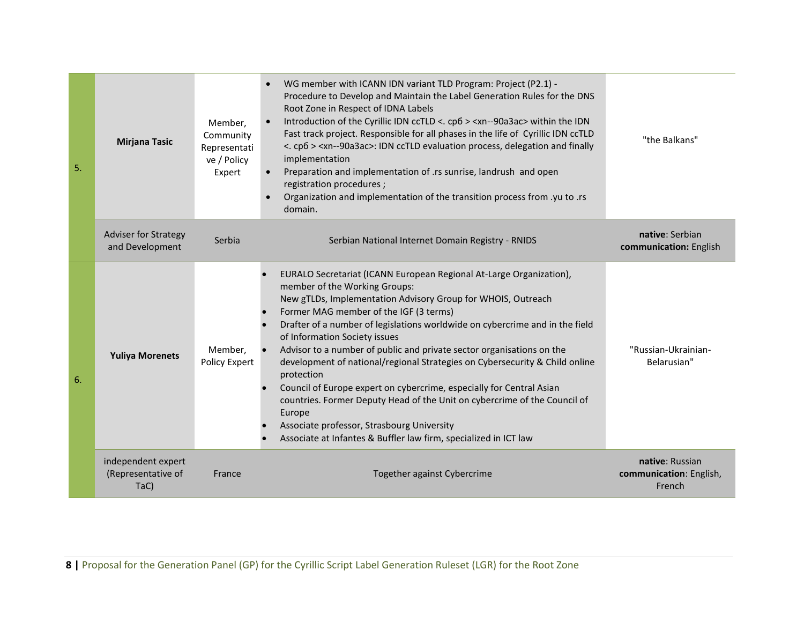| 5. | <b>Mirjana Tasic</b>                             | Member,<br>Community<br>Representati<br>ve / Policy<br>Expert | WG member with ICANN IDN variant TLD Program: Project (P2.1) -<br>Procedure to Develop and Maintain the Label Generation Rules for the DNS<br>Root Zone in Respect of IDNA Labels<br>Introduction of the Cyrillic IDN ccTLD <. cp6 > <xn--90a3ac> within the IDN<br/><math display="inline">\bullet</math><br/>Fast track project. Responsible for all phases in the life of Cyrillic IDN ccTLD<br/>&lt;. cp6 &gt; <xn--90a3ac>: IDN ccTLD evaluation process, delegation and finally<br/>implementation<br/>Preparation and implementation of .rs sunrise, landrush and open<br/><math display="inline">\bullet</math><br/>registration procedures;<br/>Organization and implementation of the transition process from .yu to .rs<br/><math display="inline">\bullet</math><br/>domain.</xn--90a3ac></xn--90a3ac> | "the Balkans"                                        |
|----|--------------------------------------------------|---------------------------------------------------------------|--------------------------------------------------------------------------------------------------------------------------------------------------------------------------------------------------------------------------------------------------------------------------------------------------------------------------------------------------------------------------------------------------------------------------------------------------------------------------------------------------------------------------------------------------------------------------------------------------------------------------------------------------------------------------------------------------------------------------------------------------------------------------------------------------------------------|------------------------------------------------------|
|    | Adviser for Strategy<br>and Development          | Serbia                                                        | Serbian National Internet Domain Registry - RNIDS                                                                                                                                                                                                                                                                                                                                                                                                                                                                                                                                                                                                                                                                                                                                                                  | native: Serbian<br>communication: English            |
| 6. | <b>Yuliya Morenets</b>                           | Member,<br>Policy Expert                                      | EURALO Secretariat (ICANN European Regional At-Large Organization),<br>member of the Working Groups:<br>New gTLDs, Implementation Advisory Group for WHOIS, Outreach<br>Former MAG member of the IGF (3 terms)<br>Drafter of a number of legislations worldwide on cybercrime and in the field<br>of Information Society issues<br>Advisor to a number of public and private sector organisations on the<br>development of national/regional Strategies on Cybersecurity & Child online<br>protection<br>Council of Europe expert on cybercrime, especially for Central Asian<br>countries. Former Deputy Head of the Unit on cybercrime of the Council of<br>Europe<br>Associate professor, Strasbourg University<br>Associate at Infantes & Buffler law firm, specialized in ICT law                             | "Russian-Ukrainian-<br>Belarusian"                   |
|    | independent expert<br>(Representative of<br>TaC) | France                                                        | Together against Cybercrime                                                                                                                                                                                                                                                                                                                                                                                                                                                                                                                                                                                                                                                                                                                                                                                        | native: Russian<br>communication: English,<br>French |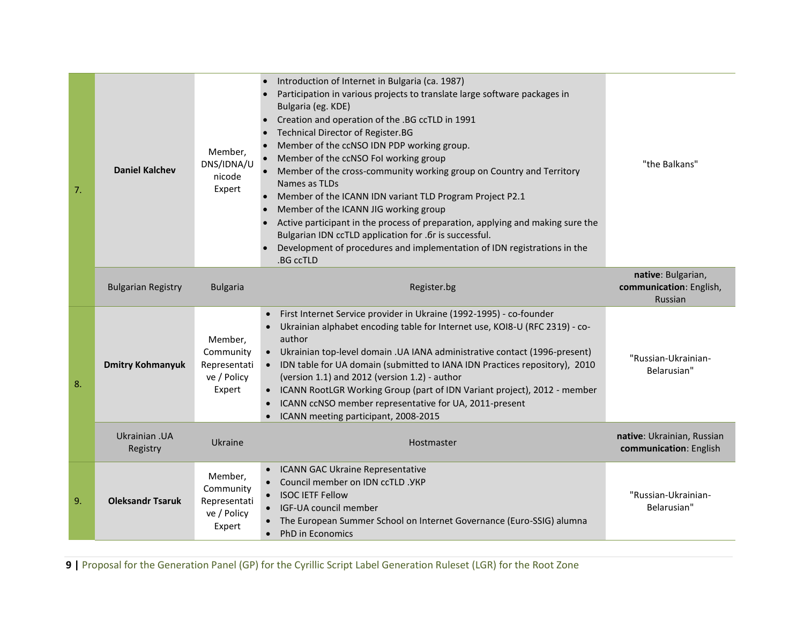| 7. | <b>Daniel Kalchev</b>     | Member,<br>DNS/IDNA/U<br>nicode<br>Expert                     | Introduction of Internet in Bulgaria (ca. 1987)<br>Participation in various projects to translate large software packages in<br>Bulgaria (eg. KDE)<br>Creation and operation of the .BG ccTLD in 1991<br>Technical Director of Register.BG<br>Member of the ccNSO IDN PDP working group.<br>Member of the ccNSO Fol working group<br>Member of the cross-community working group on Country and Territory<br>Names as TLDs<br>Member of the ICANN IDN variant TLD Program Project P2.1<br>Member of the ICANN JIG working group<br>Active participant in the process of preparation, applying and making sure the<br>Bulgarian IDN ccTLD application for .6r is successful.<br>Development of procedures and implementation of IDN registrations in the<br>.BG ccTLD | "the Balkans"                                            |
|----|---------------------------|---------------------------------------------------------------|----------------------------------------------------------------------------------------------------------------------------------------------------------------------------------------------------------------------------------------------------------------------------------------------------------------------------------------------------------------------------------------------------------------------------------------------------------------------------------------------------------------------------------------------------------------------------------------------------------------------------------------------------------------------------------------------------------------------------------------------------------------------|----------------------------------------------------------|
|    | <b>Bulgarian Registry</b> | <b>Bulgaria</b>                                               | Register.bg                                                                                                                                                                                                                                                                                                                                                                                                                                                                                                                                                                                                                                                                                                                                                          | native: Bulgarian,<br>communication: English,<br>Russian |
| 8. | <b>Dmitry Kohmanyuk</b>   | Member,<br>Community<br>Representati<br>ve / Policy<br>Expert | First Internet Service provider in Ukraine (1992-1995) - co-founder<br>$\bullet$<br>Ukrainian alphabet encoding table for Internet use, KOI8-U (RFC 2319) - co-<br>author<br>• Ukrainian top-level domain . UA IANA administrative contact (1996-present)<br>• IDN table for UA domain (submitted to IANA IDN Practices repository), 2010<br>(version 1.1) and 2012 (version 1.2) - author<br>• ICANN RootLGR Working Group (part of IDN Variant project), 2012 - member<br>ICANN ccNSO member representative for UA, 2011-present<br>ICANN meeting participant, 2008-2015                                                                                                                                                                                           | "Russian-Ukrainian-<br>Belarusian"                       |
|    | Ukrainian .UA<br>Registry | Ukraine                                                       | Hostmaster                                                                                                                                                                                                                                                                                                                                                                                                                                                                                                                                                                                                                                                                                                                                                           | native: Ukrainian, Russian<br>communication: English     |
| 9. | <b>Oleksandr Tsaruk</b>   | Member,<br>Community<br>Representati<br>ve / Policy<br>Expert | • ICANN GAC Ukraine Representative<br>Council member on IDN ccTLD . YKP<br>• ISOC IETF Fellow<br>• IGF-UA council member<br>The European Summer School on Internet Governance (Euro-SSIG) alumna<br>PhD in Economics                                                                                                                                                                                                                                                                                                                                                                                                                                                                                                                                                 | "Russian-Ukrainian-<br>Belarusian"                       |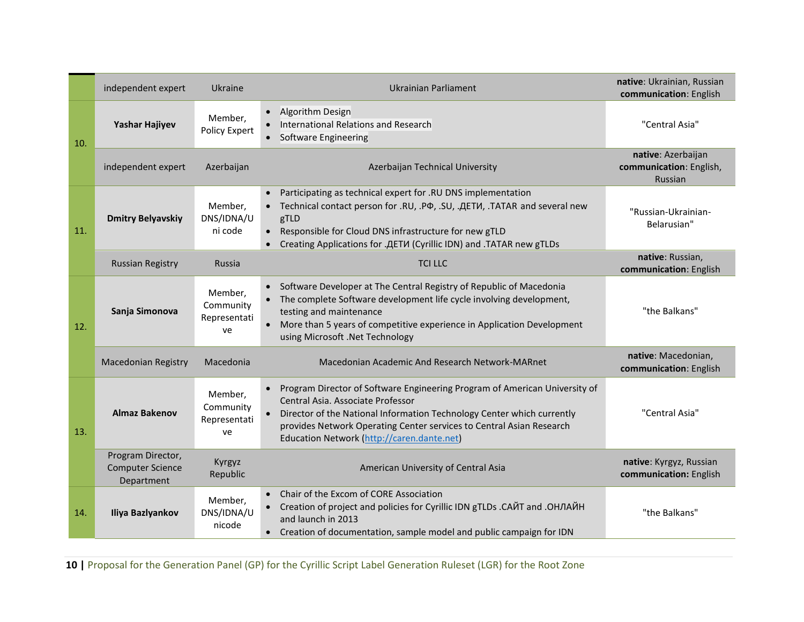|     | independent expert                                         | Ukraine                                    | <b>Ukrainian Parliament</b>                                                                                                                                                                                                                                                                                                               | native: Ukrainian, Russian<br>communication: English     |
|-----|------------------------------------------------------------|--------------------------------------------|-------------------------------------------------------------------------------------------------------------------------------------------------------------------------------------------------------------------------------------------------------------------------------------------------------------------------------------------|----------------------------------------------------------|
| 10. | Yashar Hajiyev                                             | Member,<br>Policy Expert                   | • Algorithm Design<br>International Relations and Research<br>• Software Engineering                                                                                                                                                                                                                                                      | "Central Asia"                                           |
|     | independent expert                                         | Azerbaijan                                 | Azerbaijan Technical University                                                                                                                                                                                                                                                                                                           | native: Azerbaijan<br>communication: English,<br>Russian |
| 11. | <b>Dmitry Belyavskiy</b>                                   | Member,<br>DNS/IDNA/U<br>ni code           | • Participating as technical expert for .RU DNS implementation<br>• Technical contact person for .RU, .PФ, .SU, .ДЕТИ, .TATAR and several new<br>gTLD<br>• Responsible for Cloud DNS infrastructure for new gTLD<br>Creating Applications for .ДЕТИ (Cyrillic IDN) and .TATAR new gTLDs                                                   | "Russian-Ukrainian-<br>Belarusian"                       |
|     | <b>Russian Registry</b>                                    | Russia                                     | <b>TCI LLC</b>                                                                                                                                                                                                                                                                                                                            | native: Russian,<br>communication: English               |
| 12. | Sanja Simonova                                             | Member,<br>Community<br>Representati<br>ve | • Software Developer at The Central Registry of Republic of Macedonia<br>The complete Software development life cycle involving development,<br>testing and maintenance<br>• More than 5 years of competitive experience in Application Development<br>using Microsoft .Net Technology                                                    | "the Balkans"                                            |
|     | <b>Macedonian Registry</b>                                 | Macedonia                                  | Macedonian Academic And Research Network-MARnet                                                                                                                                                                                                                                                                                           | native: Macedonian,<br>communication: English            |
| 13. | <b>Almaz Bakenov</b>                                       | Member,<br>Community<br>Representati<br>ve | Program Director of Software Engineering Program of American University of<br>$\bullet$<br>Central Asia, Associate Professor<br>Director of the National Information Technology Center which currently<br>$\bullet$<br>provides Network Operating Center services to Central Asian Research<br>Education Network (http://caren.dante.net) | "Central Asia"                                           |
|     | Program Director,<br><b>Computer Science</b><br>Department | Kyrgyz<br>Republic                         | American University of Central Asia                                                                                                                                                                                                                                                                                                       | native: Kyrgyz, Russian<br>communication: English        |
| 14. | Iliya Bazlyankov                                           | Member,<br>DNS/IDNA/U<br>nicode            | Chair of the Excom of CORE Association<br>Creation of project and policies for Cyrillic IDN gTLDs . САЙТ and . ОНЛАЙН<br>and launch in 2013<br>• Creation of documentation, sample model and public campaign for IDN                                                                                                                      | "the Balkans"                                            |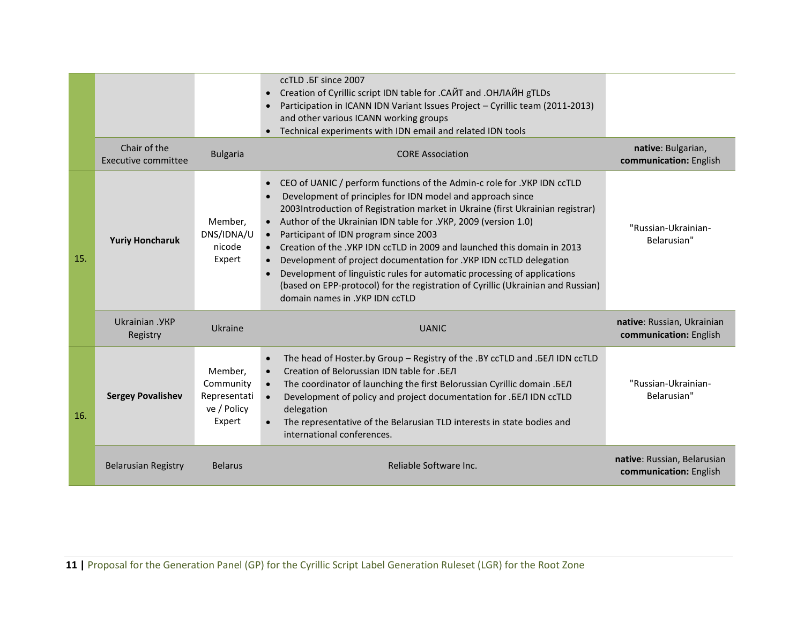|     |                                     |                                                               | ccTLD . F since 2007<br>Creation of Cyrillic script IDN table for . CАЙТ and . ОНЛАЙН gTLDs<br>Participation in ICANN IDN Variant Issues Project - Cyrillic team (2011-2013)<br>and other various ICANN working groups<br>• Technical experiments with IDN email and related IDN tools                                                                                                                                                                                                                                                                                                                                                                                                                                            |                                                       |
|-----|-------------------------------------|---------------------------------------------------------------|-----------------------------------------------------------------------------------------------------------------------------------------------------------------------------------------------------------------------------------------------------------------------------------------------------------------------------------------------------------------------------------------------------------------------------------------------------------------------------------------------------------------------------------------------------------------------------------------------------------------------------------------------------------------------------------------------------------------------------------|-------------------------------------------------------|
|     | Chair of the<br>Executive committee | <b>Bulgaria</b>                                               | <b>CORE Association</b>                                                                                                                                                                                                                                                                                                                                                                                                                                                                                                                                                                                                                                                                                                           | native: Bulgarian,<br>communication: English          |
| 15. | <b>Yuriy Honcharuk</b>              | Member,<br>DNS/IDNA/U<br>nicode<br>Expert                     | CEO of UANIC / perform functions of the Admin-c role for . YKP IDN ccTLD<br>Development of principles for IDN model and approach since<br>2003Introduction of Registration market in Ukraine (first Ukrainian registrar)<br>Author of the Ukrainian IDN table for . YKP, 2009 (version 1.0)<br>$\bullet$<br>Participant of IDN program since 2003<br>$\bullet$<br>Creation of the . YKP IDN ccTLD in 2009 and launched this domain in 2013<br>Development of project documentation for . YKP IDN ccTLD delegation<br>Development of linguistic rules for automatic processing of applications<br>$\bullet$<br>(based on EPP-protocol) for the registration of Cyrillic (Ukrainian and Russian)<br>domain names in . YKP IDN ccTLD | "Russian-Ukrainian-<br>Belarusian"                    |
|     | Ukrainian . YKP<br>Registry         | Ukraine                                                       | <b>UANIC</b>                                                                                                                                                                                                                                                                                                                                                                                                                                                                                                                                                                                                                                                                                                                      | native: Russian, Ukrainian<br>communication: English  |
| 16. | <b>Sergey Povalishev</b>            | Member,<br>Community<br>Representati<br>ve / Policy<br>Expert | The head of Hoster.by Group - Registry of the .BY ccTLD and .BEJ IDN ccTLD<br>$\bullet$<br>Creation of Belorussian IDN table for .БЕЛ<br>The coordinator of launching the first Belorussian Cyrillic domain . EEJ<br>$\bullet$<br>Development of policy and project documentation for . BEJ IDN ccTLD<br>$\bullet$<br>delegation<br>The representative of the Belarusian TLD interests in state bodies and<br>$\bullet$<br>international conferences.                                                                                                                                                                                                                                                                             | "Russian-Ukrainian-<br>Belarusian"                    |
|     | <b>Belarusian Registry</b>          | <b>Belarus</b>                                                | Reliable Software Inc.                                                                                                                                                                                                                                                                                                                                                                                                                                                                                                                                                                                                                                                                                                            | native: Russian, Belarusian<br>communication: English |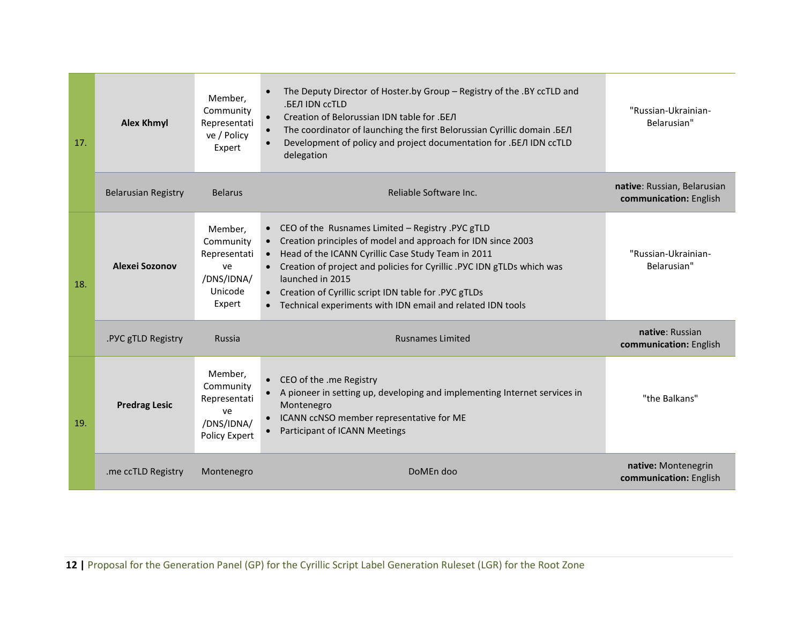| 17. | <b>Alex Khmyl</b>          | Member,<br>Community<br>Representati<br>ve / Policy<br>Expert                 | The Deputy Director of Hoster.by Group - Registry of the .BY ccTLD and<br>.БЕЛ IDN ccTLD<br>Creation of Belorussian IDN table for .БЕЛ<br>$\bullet$<br>The coordinator of launching the first Belorussian Cyrillic domain . EE/I<br>$\bullet$<br>Development of policy and project documentation for . EEЛ IDN ccTLD<br>$\bullet$<br>delegation                                                                 | "Russian-Ukrainian-<br>Belarusian"                    |
|-----|----------------------------|-------------------------------------------------------------------------------|-----------------------------------------------------------------------------------------------------------------------------------------------------------------------------------------------------------------------------------------------------------------------------------------------------------------------------------------------------------------------------------------------------------------|-------------------------------------------------------|
|     | <b>Belarusian Registry</b> | <b>Belarus</b>                                                                | Reliable Software Inc.                                                                                                                                                                                                                                                                                                                                                                                          | native: Russian, Belarusian<br>communication: English |
| 18. | Alexei Sozonov             | Member,<br>Community<br>Representati<br>ve<br>/DNS/IDNA/<br>Unicode<br>Expert | • CEO of the Rusnames Limited - Registry .PYC gTLD<br>Creation principles of model and approach for IDN since 2003<br>Head of the ICANN Cyrillic Case Study Team in 2011<br>$\bullet$<br>• Creation of project and policies for Cyrillic .PYC IDN gTLDs which was<br>launched in 2015<br>• Creation of Cyrillic script IDN table for .PYC gTLDs<br>• Technical experiments with IDN email and related IDN tools | "Russian-Ukrainian-<br>Belarusian"                    |
|     | .PYC gTLD Registry         | <b>Russia</b>                                                                 | <b>Rusnames Limited</b>                                                                                                                                                                                                                                                                                                                                                                                         | native: Russian<br>communication: English             |
| 19. | <b>Predrag Lesic</b>       | Member,<br>Community<br>Representati<br>ve<br>/DNS/IDNA/<br>Policy Expert     | • CEO of the .me Registry<br>A pioneer in setting up, developing and implementing Internet services in<br>Montenegro<br>ICANN ccNSO member representative for ME<br>Participant of ICANN Meetings<br>$\bullet$                                                                                                                                                                                                  | "the Balkans"                                         |
|     | .me ccTLD Registry         | Montenegro                                                                    | DoMEn doo                                                                                                                                                                                                                                                                                                                                                                                                       | native: Montenegrin<br>communication: English         |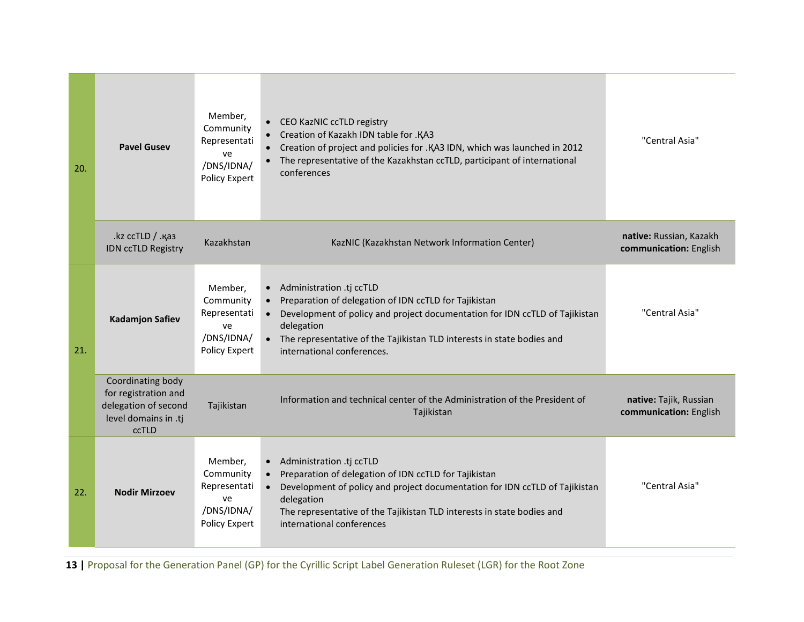| 20. | <b>Pavel Gusev</b>                                                                                 | Member,<br>Community<br>Representati<br>ve<br>/DNS/IDNA/<br>Policy Expert | • CEO KazNIC ccTLD registry<br>Creation of Kazakh IDN table for .KA3<br>$\bullet$<br>Creation of project and policies for .KA3 IDN, which was launched in 2012<br>The representative of the Kazakhstan ccTLD, participant of international<br>conferences                                                            | "Central Asia"                                    |
|-----|----------------------------------------------------------------------------------------------------|---------------------------------------------------------------------------|----------------------------------------------------------------------------------------------------------------------------------------------------------------------------------------------------------------------------------------------------------------------------------------------------------------------|---------------------------------------------------|
|     | .kz ccTLD / .қаз<br>IDN ccTLD Registry                                                             | Kazakhstan                                                                | KazNIC (Kazakhstan Network Information Center)                                                                                                                                                                                                                                                                       | native: Russian, Kazakh<br>communication: English |
| 21. | <b>Kadamjon Safiev</b>                                                                             | Member,<br>Community<br>Representati<br>ve<br>/DNS/IDNA/<br>Policy Expert | • Administration .tj ccTLD<br>Preparation of delegation of IDN ccTLD for Tajikistan<br>$\bullet$<br>Development of policy and project documentation for IDN ccTLD of Tajikistan<br>$\bullet$<br>delegation<br>• The representative of the Tajikistan TLD interests in state bodies and<br>international conferences. | "Central Asia"                                    |
|     | Coordinating body<br>for registration and<br>delegation of second<br>level domains in .tj<br>ccTLD | Tajikistan                                                                | Information and technical center of the Administration of the President of<br>Tajikistan                                                                                                                                                                                                                             | native: Tajik, Russian<br>communication: English  |
| 22. | <b>Nodir Mirzoev</b>                                                                               | Member,<br>Community<br>Representati<br>ve<br>/DNS/IDNA/<br>Policy Expert | • Administration .tj ccTLD<br>Preparation of delegation of IDN ccTLD for Tajikistan<br>Development of policy and project documentation for IDN ccTLD of Tajikistan<br>$\bullet$<br>delegation<br>The representative of the Tajikistan TLD interests in state bodies and<br>international conferences                 | "Central Asia"                                    |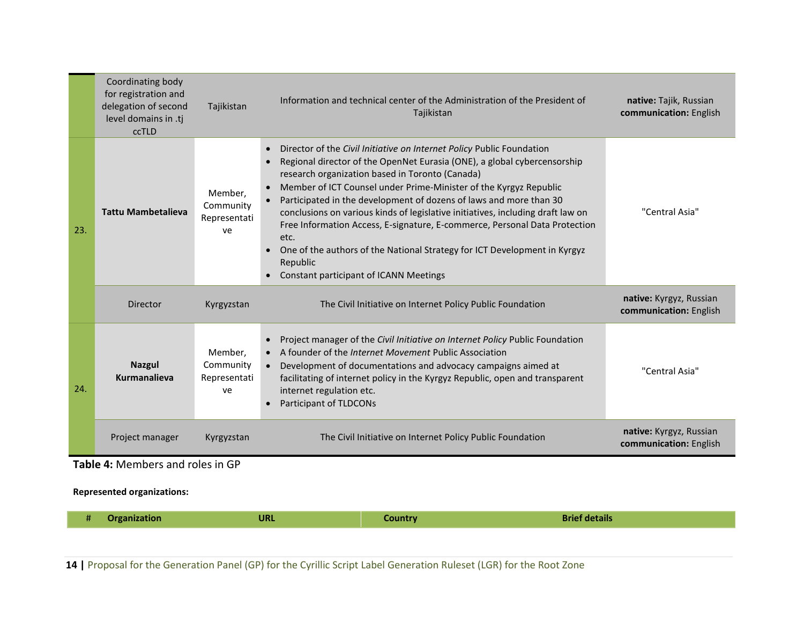|     | Coordinating body<br>for registration and<br>delegation of second<br>level domains in .tj<br>ccTLD | Tajikistan                                 | Information and technical center of the Administration of the President of<br>Tajikistan                                                                                                                                                                                                                                                                                                                                                                                                                                                                                                                                                                                                                                     | native: Tajik, Russian<br>communication: English  |
|-----|----------------------------------------------------------------------------------------------------|--------------------------------------------|------------------------------------------------------------------------------------------------------------------------------------------------------------------------------------------------------------------------------------------------------------------------------------------------------------------------------------------------------------------------------------------------------------------------------------------------------------------------------------------------------------------------------------------------------------------------------------------------------------------------------------------------------------------------------------------------------------------------------|---------------------------------------------------|
| 23. | <b>Tattu Mambetalieva</b>                                                                          | Member,<br>Community<br>Representati<br>ve | Director of the Civil Initiative on Internet Policy Public Foundation<br>$\bullet$<br>Regional director of the OpenNet Eurasia (ONE), a global cybercensorship<br>$\bullet$<br>research organization based in Toronto (Canada)<br>Member of ICT Counsel under Prime-Minister of the Kyrgyz Republic<br>$\bullet$<br>Participated in the development of dozens of laws and more than 30<br>$\bullet$<br>conclusions on various kinds of legislative initiatives, including draft law on<br>Free Information Access, E-signature, E-commerce, Personal Data Protection<br>etc.<br>One of the authors of the National Strategy for ICT Development in Kyrgyz<br>$\bullet$<br>Republic<br>Constant participant of ICANN Meetings | "Central Asia"                                    |
|     | Director                                                                                           | Kyrgyzstan                                 | The Civil Initiative on Internet Policy Public Foundation                                                                                                                                                                                                                                                                                                                                                                                                                                                                                                                                                                                                                                                                    | native: Kyrgyz, Russian<br>communication: English |
| 24. | <b>Nazgul</b><br><b>Kurmanalieva</b>                                                               | Member,<br>Community<br>Representati<br>ve | Project manager of the Civil Initiative on Internet Policy Public Foundation<br>$\bullet$<br>A founder of the <i>Internet Movement</i> Public Association<br>$\bullet$<br>Development of documentations and advocacy campaigns aimed at<br>$\bullet$<br>facilitating of internet policy in the Kyrgyz Republic, open and transparent<br>internet regulation etc.<br>Participant of TLDCONs<br>$\bullet$                                                                                                                                                                                                                                                                                                                      | "Central Asia"                                    |
|     | Project manager                                                                                    | Kyrgyzstan                                 | The Civil Initiative on Internet Policy Public Foundation                                                                                                                                                                                                                                                                                                                                                                                                                                                                                                                                                                                                                                                                    | native: Kyrgyz, Russian<br>communication: English |
|     | Table 4: Members and roles in GP                                                                   |                                            |                                                                                                                                                                                                                                                                                                                                                                                                                                                                                                                                                                                                                                                                                                                              |                                                   |

**Represented organizations:**

| <b>Brief details</b><br><b>URL</b><br><b>Organization</b><br>Country |  |
|----------------------------------------------------------------------|--|
|----------------------------------------------------------------------|--|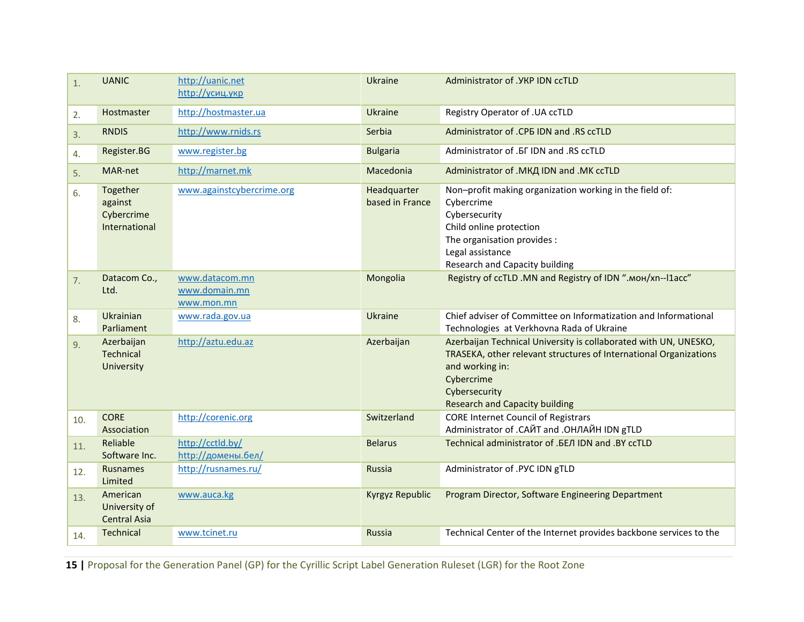| 1.  | <b>UANIC</b>                                       | http://uanic.net<br>http://усиц.укр           | Ukraine                        | Administrator of . YKP IDN ccTLD                                                                                                                                                                                                 |
|-----|----------------------------------------------------|-----------------------------------------------|--------------------------------|----------------------------------------------------------------------------------------------------------------------------------------------------------------------------------------------------------------------------------|
| 2.  | <b>Hostmaster</b>                                  | http://hostmaster.ua                          | Ukraine                        | Registry Operator of .UA ccTLD                                                                                                                                                                                                   |
| 3.  | <b>RNDIS</b>                                       | http://www.rnids.rs                           | Serbia                         | Administrator of .CPB IDN and .RS ccTLD                                                                                                                                                                                          |
| 4.  | Register.BG                                        | www.register.bg                               | <b>Bulgaria</b>                | Administrator of . FI IDN and . RS ccTLD                                                                                                                                                                                         |
| 5.  | MAR-net                                            | http://marnet.mk                              | Macedonia                      | Administrator of .МКД IDN and .MK ccTLD                                                                                                                                                                                          |
| 6.  | Together<br>against<br>Cybercrime<br>International | www.againstcybercrime.org                     | Headquarter<br>based in France | Non-profit making organization working in the field of:<br>Cybercrime<br>Cybersecurity<br>Child online protection<br>The organisation provides :<br>Legal assistance<br><b>Research and Capacity building</b>                    |
| 7.  | Datacom Co.,<br>Ltd.                               | www.datacom.mn<br>www.domain.mn<br>www.mon.mn | Mongolia                       | Registry of ccTLD .MN and Registry of IDN ".MOH/xn--l1acc"                                                                                                                                                                       |
| 8.  | Ukrainian<br>Parliament                            | www.rada.gov.ua                               | Ukraine                        | Chief adviser of Committee on Informatization and Informational<br>Technologies at Verkhovna Rada of Ukraine                                                                                                                     |
| 9.  | Azerbaijan<br>Technical<br>University              | http://aztu.edu.az                            | Azerbaijan                     | Azerbaijan Technical University is collaborated with UN, UNESKO,<br>TRASEKA, other relevant structures of International Organizations<br>and working in:<br>Cybercrime<br>Cybersecurity<br><b>Research and Capacity building</b> |
| 10. | <b>CORE</b><br>Association                         | http://corenic.org                            | Switzerland                    | <b>CORE Internet Council of Registrars</b><br>Administrator of .CAЙТ and .OHЛАЙН IDN gTLD                                                                                                                                        |
| 11. | Reliable<br>Software Inc.                          | http://cctld.by/<br>http://домены.бел/        | <b>Belarus</b>                 | Technical administrator of .БЕЛ IDN and .BY ccTLD                                                                                                                                                                                |
| 12. | Rusnames<br>Limited                                | http://rusnames.ru/                           | Russia                         | Administrator of .PYC IDN gTLD                                                                                                                                                                                                   |
| 13. | American<br>University of<br><b>Central Asia</b>   | www.auca.kg                                   | Kyrgyz Republic                | Program Director, Software Engineering Department                                                                                                                                                                                |
| 14. | Technical                                          | www.tcinet.ru                                 | Russia                         | Technical Center of the Internet provides backbone services to the                                                                                                                                                               |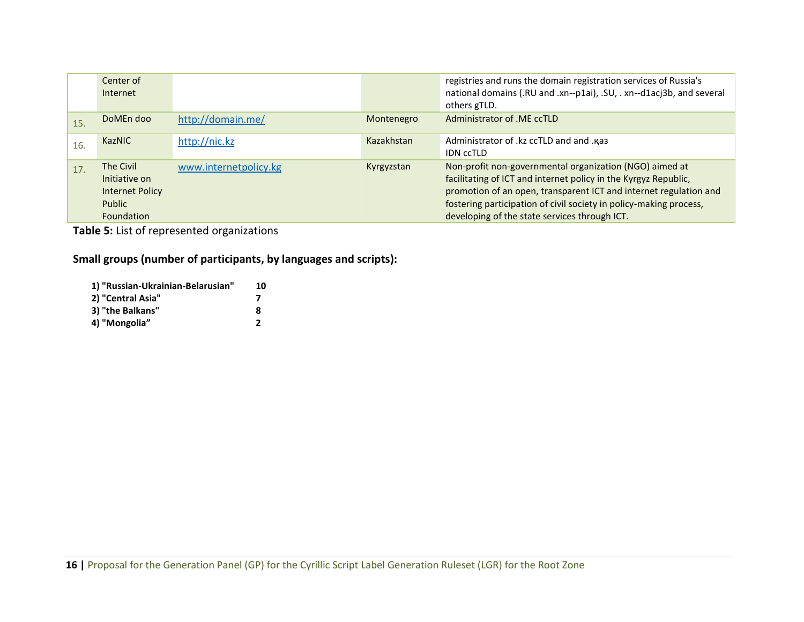|     | Center of<br>Internet                                                 |                       |            | registries and runs the domain registration services of Russia's<br>national domains (.RU and .xn--p1ai), .SU, .xn--d1acj3b, and several<br>others gTLD.                                                                                                                                                               |
|-----|-----------------------------------------------------------------------|-----------------------|------------|------------------------------------------------------------------------------------------------------------------------------------------------------------------------------------------------------------------------------------------------------------------------------------------------------------------------|
| 15. | DoMEn doo                                                             | http://domain.me/     | Montenegro | Administrator of .ME ccTLD                                                                                                                                                                                                                                                                                             |
| 16. | <b>KazNIC</b>                                                         | http://nic.kz         | Kazakhstan | Administrator of .kz ccTLD and and .kas<br><b>IDN CCTLD</b>                                                                                                                                                                                                                                                            |
| 17. | The Civil<br>Initiative on<br>Internet Policy<br>Public<br>Foundation | www.internetpolicy.kg | Kyrgyzstan | Non-profit non-governmental organization (NGO) aimed at<br>facilitating of ICT and internet policy in the Kyrgyz Republic,<br>promotion of an open, transparent ICT and internet regulation and<br>fostering participation of civil society in policy-making process,<br>developing of the state services through ICT. |

**Table 5:** List of represented organizations

**Small groups (number of participants, by languages and scripts):**

| 1) "Russian-Ukrainian-Belarusian" | 10 |
|-----------------------------------|----|
| 2) "Central Asia"                 |    |
| 3) "the Balkans"                  | Զ  |
| 4) "Mongolia"                     | 2  |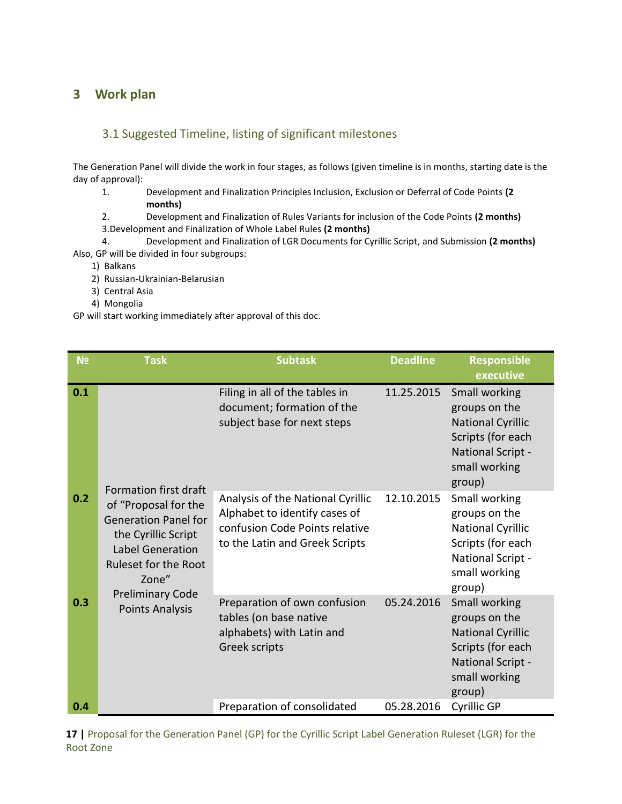# <span id="page-16-0"></span>**3 Work plan**

#### <span id="page-16-1"></span>3.1 Suggested Timeline, listing of significant milestones

The Generation Panel will divide the work in four stages, as follows (given timeline is in months, starting date is the day of approval):

- 1. Development and Finalization Principles Inclusion, Exclusion or Deferral of Code Points **(2 months)**
- 2. Development and Finalization of Rules Variants for inclusion of the Code Points **(2 months)**
- 3.Development and Finalization of Whole Label Rules **(2 months)**

4. Development and Finalization of LGR Documents for Cyrillic Script, and Submission **(2 months)** Also, GP will be divided in four subgroups:

- 1) Balkans
- 2) Russian-Ukrainian-Belarusian
- 3) Central Asia
- 4) Mongolia

GP will start working immediately after approval of this doc.

| N <sub>2</sub> | <b>Task</b>                                                                                                                            | <b>Subtask</b>                                                                                                                         | <b>Deadline</b> | <b>Responsible</b><br>executive                                                                                                 |
|----------------|----------------------------------------------------------------------------------------------------------------------------------------|----------------------------------------------------------------------------------------------------------------------------------------|-----------------|---------------------------------------------------------------------------------------------------------------------------------|
| 0.1            | Formation first draft                                                                                                                  | Filing in all of the tables in<br>document; formation of the<br>subject base for next steps                                            | 11.25.2015      | Small working<br>groups on the<br><b>National Cyrillic</b><br>Scripts (for each<br>National Script -<br>small working<br>group) |
| 0.2            | of "Proposal for the<br><b>Generation Panel for</b><br>the Cyrillic Script<br><b>Label Generation</b><br>Ruleset for the Root<br>Zone" | Analysis of the National Cyrillic<br>Alphabet to identify cases of<br>confusion Code Points relative<br>to the Latin and Greek Scripts | 12.10.2015      | Small working<br>groups on the<br><b>National Cyrillic</b><br>Scripts (for each<br>National Script -<br>small working<br>group) |
| 0.3            | <b>Preliminary Code</b><br><b>Points Analysis</b>                                                                                      | Preparation of own confusion<br>tables (on base native<br>alphabets) with Latin and<br>Greek scripts                                   | 05.24.2016      | Small working<br>groups on the<br><b>National Cyrillic</b><br>Scripts (for each<br>National Script -<br>small working<br>group) |
| 0.4            |                                                                                                                                        | Preparation of consolidated                                                                                                            | 05.28.2016      | Cyrillic GP                                                                                                                     |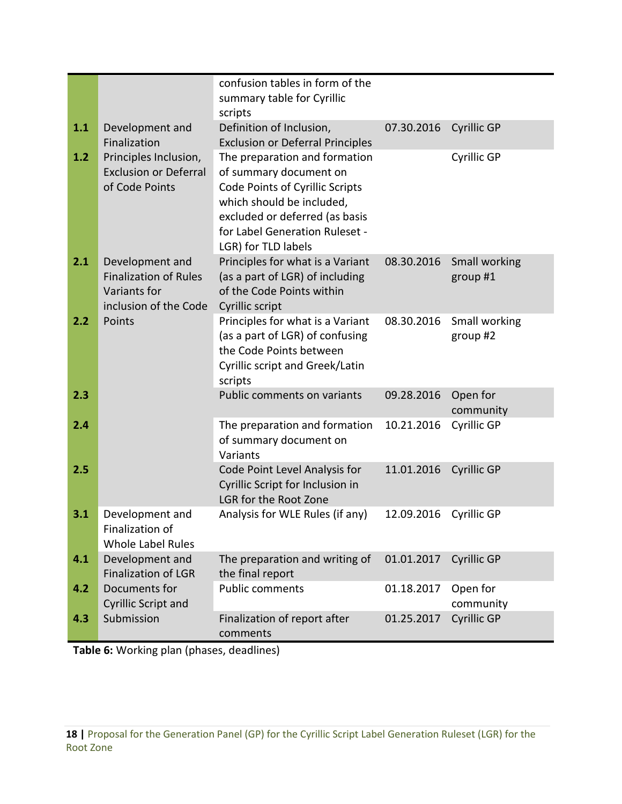|     |                                                                                          | confusion tables in form of the<br>summary table for Cyrillic                                                                                                                                                      |            |                           |
|-----|------------------------------------------------------------------------------------------|--------------------------------------------------------------------------------------------------------------------------------------------------------------------------------------------------------------------|------------|---------------------------|
|     |                                                                                          | scripts                                                                                                                                                                                                            |            |                           |
| 1.1 | Development and<br>Finalization                                                          | Definition of Inclusion,<br><b>Exclusion or Deferral Principles</b>                                                                                                                                                | 07.30.2016 | <b>Cyrillic GP</b>        |
| 1.2 | Principles Inclusion,<br><b>Exclusion or Deferral</b><br>of Code Points                  | The preparation and formation<br>of summary document on<br>Code Points of Cyrillic Scripts<br>which should be included,<br>excluded or deferred (as basis<br>for Label Generation Ruleset -<br>LGR) for TLD labels |            | Cyrillic GP               |
| 2.1 | Development and<br><b>Finalization of Rules</b><br>Variants for<br>inclusion of the Code | Principles for what is a Variant<br>(as a part of LGR) of including<br>of the Code Points within<br>Cyrillic script                                                                                                | 08.30.2016 | Small working<br>group #1 |
| 2.2 | Points                                                                                   | Principles for what is a Variant<br>(as a part of LGR) of confusing<br>the Code Points between<br>Cyrillic script and Greek/Latin<br>scripts                                                                       | 08.30.2016 | Small working<br>group #2 |
| 2.3 |                                                                                          | Public comments on variants                                                                                                                                                                                        | 09.28.2016 | Open for<br>community     |
| 2.4 |                                                                                          | The preparation and formation<br>of summary document on<br>Variants                                                                                                                                                | 10.21.2016 | Cyrillic GP               |
| 2.5 |                                                                                          | Code Point Level Analysis for<br>Cyrillic Script for Inclusion in<br>LGR for the Root Zone                                                                                                                         | 11.01.2016 | <b>Cyrillic GP</b>        |
| 3.1 | Development and<br>Finalization of<br><b>Whole Label Rules</b>                           | Analysis for WLE Rules (if any)                                                                                                                                                                                    | 12.09.2016 | Cyrillic GP               |
| 4.1 | Development and<br><b>Finalization of LGR</b>                                            | The preparation and writing of<br>the final report                                                                                                                                                                 | 01.01.2017 | Cyrillic GP               |
| 4.2 | Documents for<br><b>Cyrillic Script and</b>                                              | <b>Public comments</b>                                                                                                                                                                                             | 01.18.2017 | Open for<br>community     |
| 4.3 | Submission                                                                               | Finalization of report after<br>comments                                                                                                                                                                           | 01.25.2017 | Cyrillic GP               |

**Table 6:** Working plan (phases, deadlines)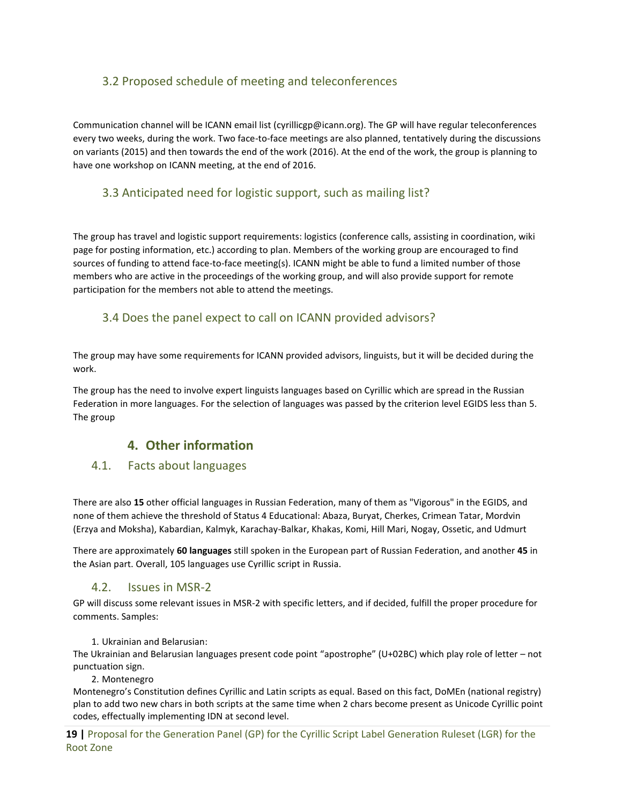#### <span id="page-18-0"></span>3.2 Proposed schedule of meeting and teleconferences

Communication channel will be ICANN email list [\(cyrillicgp@icann.org\)](mailto:cyrillicgp@icann.org). The GP will have regular teleconferences every two weeks, during the work. Two face-to-face meetings are also planned, tentatively during the discussions on variants (2015) and then towards the end of the work (2016). At the end of the work, the group is planning to have one workshop on ICANN meeting, at the end of 2016.

#### <span id="page-18-1"></span>3.3 Anticipated need for logistic support, such as mailing list?

The group has travel and logistic support requirements: logistics (conference calls, assisting in coordination, wiki page for posting information, etc.) according to plan. Members of the working group are encouraged to find sources of funding to attend face-to-face meeting(s). ICANN might be able to fund a limited number of those members who are active in the proceedings of the working group, and will also provide support for remote participation for the members not able to attend the meetings.

#### <span id="page-18-2"></span>3.4 Does the panel expect to call on ICANN provided advisors?

The group may have some requirements for ICANN provided advisors, linguists, but it will be decided during the work.

The group has the need to involve expert linguists languages based on Cyrillic which are spread in the Russian Federation in more languages. For the selection of languages was passed by the criterion level EGIDS less than 5. The group

#### **4. Other information**

#### <span id="page-18-4"></span><span id="page-18-3"></span>4.1. Facts about languages

There are also **15** other official languages in Russian Federation, many of them as "Vigorous" in the EGIDS, and none of them achieve the threshold of Status 4 Educational: Abaza, Buryat, Cherkes, Crimean Tatar, Mordvin (Erzya and Moksha), Kabardian, Kalmyk, Karachay-Balkar, Khakas, Komi, Hill Mari, Nogay, Ossetic, and Udmurt

There are approximately **60 languages** still spoken in the European part of Russian Federation, and another **45** in the Asian part. Overall, 105 languages use Cyrillic script in Russia.

#### 4.2. Issues in MSR-2

<span id="page-18-5"></span>GP will discuss some relevant issues in MSR-2 with specific letters, and if decided, fulfill the proper procedure for comments. Samples:

#### 1. Ukrainian and Belarusian:

The Ukrainian and Belarusian languages present code point "apostrophe" (U+02BC) which play role of letter – not punctuation sign.

2. Montenegro

Montenegro's Constitution defines Cyrillic and Latin scripts as equal. Based on this fact, DoMEn (national registry) plan to add two new chars in both scripts at the same time when 2 chars become present as Unicode Cyrillic point codes, effectually implementing IDN at second level.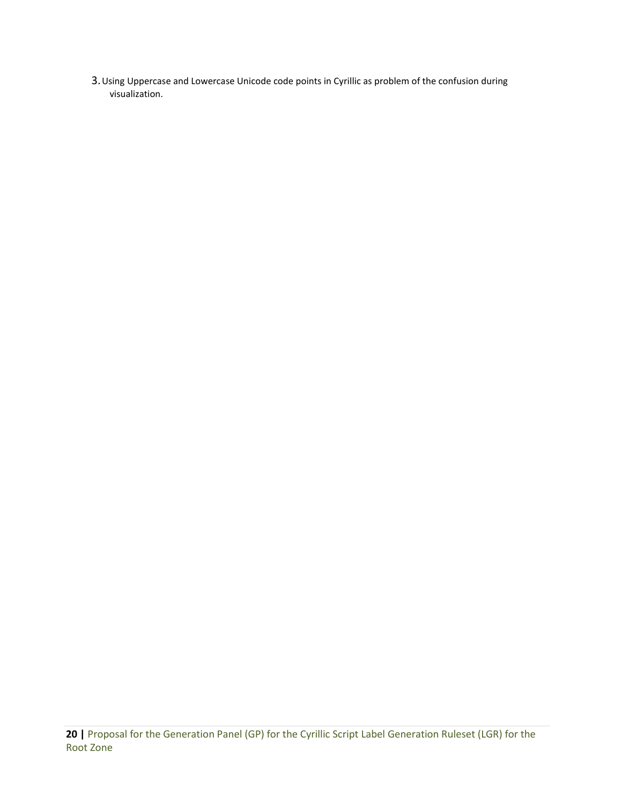3.Using Uppercase and Lowercase Unicode code points in Cyrillic as problem of the confusion during visualization.